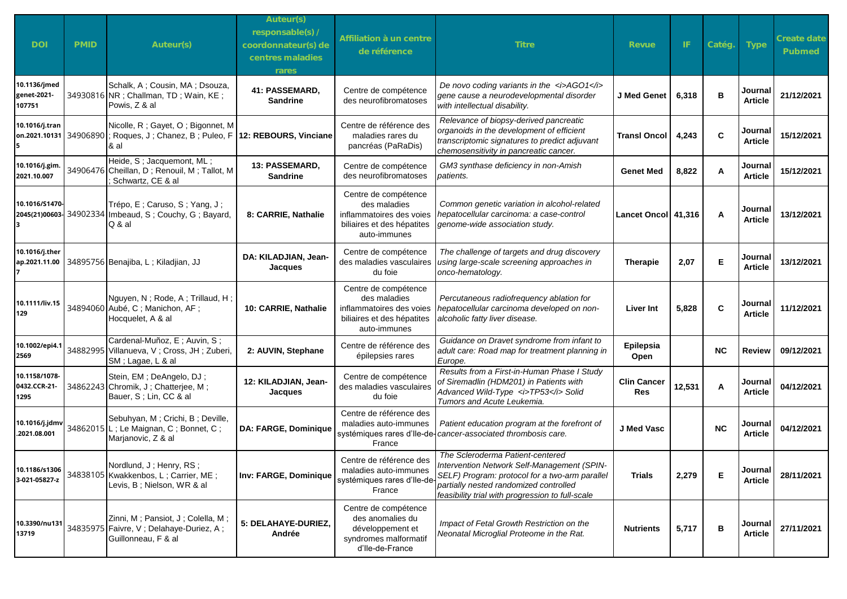| <b>DOI</b>                            | <b>PMID</b> | Auteur(s)                                                                                                                  | Auteur(s)<br>responsable(s) /<br>coordonnateur(s) de<br>centres maladies<br>rares | Affiliation à un centre<br>de référence                                                                        | <b>Titre</b>                                                                                                                                                                                                                    | Revue                     | -IF    | Catég.    | Type                      | Create date<br>Pubmed |
|---------------------------------------|-------------|----------------------------------------------------------------------------------------------------------------------------|-----------------------------------------------------------------------------------|----------------------------------------------------------------------------------------------------------------|---------------------------------------------------------------------------------------------------------------------------------------------------------------------------------------------------------------------------------|---------------------------|--------|-----------|---------------------------|-----------------------|
| 10.1136/jmed<br>genet-2021-<br>107751 |             | Schalk, A; Cousin, MA; Dsouza,<br>34930816 NR ; Challman, TD ; Wain, KE ;<br>Powis, Z & al                                 | 41: PASSEMARD,<br><b>Sandrine</b>                                                 | Centre de compétence<br>des neurofibromatoses                                                                  | De novo coding variants in the $\langle$ i>AGO1 $\langle$ i><br>gene cause a neurodevelopmental disorder<br>with intellectual disability.                                                                                       | J Med Genet               | 6,318  | в         | Journal<br><b>Article</b> | 21/12/2021            |
| 10.1016/j.tran<br>5                   |             | Nicolle, R; Gayet, O; Bigonnet, M<br>on.2021.10131 34906890 ; Roques, J; Chanez, B; Puleo, F 12: REBOURS, Vinciane<br>& al |                                                                                   | Centre de référence des<br>maladies rares du<br>pancréas (PaRaDis)                                             | Relevance of biopsy-derived pancreatic<br>organoids in the development of efficient<br>transcriptomic signatures to predict adjuvant<br>chemosensitivity in pancreatic cancer.                                                  | <b>Transl Oncol</b>       | 4,243  | C         | Journal<br><b>Article</b> | 15/12/2021            |
| 10.1016/j.gim.<br>2021.10.007         |             | Heide, S; Jacquemont, ML;<br>34906476 Cheillan, D; Renouil, M; Tallot, M<br>Schwartz, CE & al                              | 13: PASSEMARD,<br><b>Sandrine</b>                                                 | Centre de compétence<br>des neurofibromatoses                                                                  | GM3 synthase deficiency in non-Amish<br>patients.                                                                                                                                                                               | <b>Genet Med</b>          | 8,822  | A         | Journal<br><b>Article</b> | 15/12/2021            |
| 10.1016/S1470-<br>3                   |             | Trépo, E; Caruso, S; Yang, J;<br>2045(21)00603-34902334 Imbeaud, S; Couchy, G; Bayard,<br>Q & al                           | 8: CARRIE, Nathalie                                                               | Centre de compétence<br>des maladies<br>inflammatoires des voies<br>biliaires et des hépatites<br>auto-immunes | Common genetic variation in alcohol-related<br>hepatocellular carcinoma: a case-control<br>genome-wide association study.                                                                                                       | Lancet Oncol 41,316       |        | A         | Journal<br><b>Article</b> | 13/12/2021            |
| 10.1016/j.ther<br>ap.2021.11.00       |             | 34895756 Benajiba, L; Kiladjian, JJ                                                                                        | DA: KILADJIAN, Jean-<br>Jacques                                                   | Centre de compétence<br>des maladies vasculaires<br>du foie                                                    | The challenge of targets and drug discovery<br>using large-scale screening approaches in<br>onco-hematology.                                                                                                                    | <b>Therapie</b>           | 2,07   | Е         | Journal<br><b>Article</b> | 13/12/2021            |
| 10.1111/liv.15<br>129                 |             | Nguyen, N; Rode, A; Trillaud, H;<br>34894060 Aubé, C; Manichon, AF;<br>Hocquelet, A & al                                   | 10: CARRIE, Nathalie                                                              | Centre de compétence<br>des maladies<br>inflammatoires des voies<br>biliaires et des hépatites<br>auto-immunes | Percutaneous radiofrequency ablation for<br>hepatocellular carcinoma developed on non-<br>alcoholic fatty liver disease.                                                                                                        | <b>Liver Int</b>          | 5,828  | C         | Journal<br><b>Article</b> | 11/12/2021            |
| 10.1002/epi4.1<br>2569                |             | Cardenal-Muñoz, E; Auvin, S;<br>34882995 Villanueva, V; Cross, JH; Zuberi,<br>SM; Lagae, L & al                            | 2: AUVIN, Stephane                                                                | Centre de référence des<br>épilepsies rares                                                                    | Guidance on Dravet syndrome from infant to<br>adult care: Road map for treatment planning in<br>Europe.                                                                                                                         | Epilepsia<br>Open         |        | <b>NC</b> | <b>Review</b>             | 09/12/2021            |
| 10.1158/1078-<br>0432.CCR-21-<br>1295 |             | Stein, EM; DeAngelo, DJ;<br>34862243 Chromik, J; Chatterjee, M;<br>Bauer, S; Lin, CC & al                                  | 12: KILADJIAN, Jean-<br>Jacques                                                   | Centre de compétence<br>des maladies vasculaires<br>du foie                                                    | Results from a First-in-Human Phase I Study<br>of Siremadlin (HDM201) in Patients with<br>Advanced Wild-Type <i>TP53</i> Solid<br>Tumors and Acute Leukemia.                                                                    | <b>Clin Cancer</b><br>Res | 12,531 | Α         | Journal<br><b>Article</b> | 04/12/2021            |
| 10.1016/j.jdmv<br>.2021.08.001        |             | Sebuhyan, M; Crichi, B; Deville,<br>34862015 L; Le Maignan, C; Bonnet, C;<br>Marjanovic, Z & al                            | <b>DA: FARGE, Dominique</b>                                                       | Centre de référence des<br>maladies auto-immunes<br>France                                                     | Patient education program at the forefront of<br>systémiques rares d'Ile-de-cancer-associated thrombosis care.                                                                                                                  | J Med Vasc                |        | <b>NC</b> | Journal<br><b>Article</b> | 04/12/2021            |
| 10.1186/s1306<br>3-021-05827-z        |             | Nordlund, J; Henry, RS;<br>34838105 Kwakkenbos, L; Carrier, ME;<br>Levis, B; Nielson, WR & al                              | Inv: FARGE, Dominique                                                             | Centre de référence des<br>maladies auto-immunes<br>systémiques rares d'Ile-de<br>France                       | The Scleroderma Patient-centered<br>Intervention Network Self-Management (SPIN-<br>SELF) Program: protocol for a two-arm parallel<br>partially nested randomized controlled<br>feasibility trial with progression to full-scale | <b>Trials</b>             | 2,279  | Е         | Journal<br><b>Article</b> | 28/11/2021            |
| 10.3390/nu131<br>13719                |             | Zinni, M; Pansiot, J; Colella, M;<br>34835975 Faivre, V; Delahaye-Duriez, A;<br>Guillonneau, F & al                        | 5: DELAHAYE-DURIEZ,<br>Andrée                                                     | Centre de compétence<br>des anomalies du<br>développement et<br>syndromes malformatif<br>d'Ile-de-France       | Impact of Fetal Growth Restriction on the<br>Neonatal Microglial Proteome in the Rat.                                                                                                                                           | <b>Nutrients</b>          | 5,717  | в         | Journal<br><b>Article</b> | 27/11/2021            |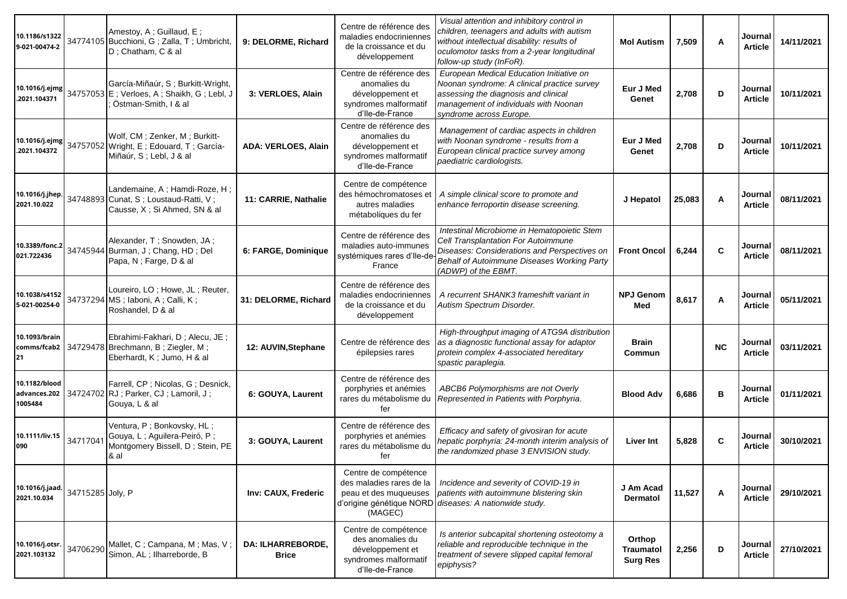| 10.1186/s1322<br>9-021-00474-2           |                  | Amestoy, A; Guillaud, E;<br>34774105 Bucchioni, G; Zalla, T; Umbricht,<br>D; Chatham, C & al            | 9: DELORME, Richard                      | Centre de référence des<br>maladies endocriniennes<br>de la croissance et du<br>développement            | Visual attention and inhibitory control in<br>children, teenagers and adults with autism<br>without intellectual disability: results of<br>oculomotor tasks from a 2-year longitudinal<br>follow-up study (InFoR). | <b>Mol Autism</b>                             | 7,509  | A            | Journal<br><b>Article</b> | 14/11/2021 |
|------------------------------------------|------------------|---------------------------------------------------------------------------------------------------------|------------------------------------------|----------------------------------------------------------------------------------------------------------|--------------------------------------------------------------------------------------------------------------------------------------------------------------------------------------------------------------------|-----------------------------------------------|--------|--------------|---------------------------|------------|
| 10.1016/j.ejmg<br>.2021.104371           |                  | García-Miñaúr, S; Burkitt-Wright,<br>34757053 E; Verloes, A; Shaikh, G; Lebl, J<br>Östman-Smith, I & al | 3: VERLOES, Alain                        | Centre de référence des<br>anomalies du<br>développement et<br>syndromes malformatif<br>d'Ile-de-France  | European Medical Education Initiative on<br>Noonan syndrome: A clinical practice survey<br>assessing the diagnosis and clinical<br>management of individuals with Noonan<br>syndrome across Europe.                | Eur J Med<br>Genet                            | 2,708  | D            | Journal<br><b>Article</b> | 10/11/2021 |
| 10.1016/j.ejmg<br>.2021.104372           |                  | Wolf, CM; Zenker, M; Burkitt-<br>34757052 Wright, E; Edouard, T; García-<br>Miñaúr, S; Lebl, J & al     | <b>ADA: VERLOES, Alain</b>               | Centre de référence des<br>anomalies du<br>développement et<br>syndromes malformatif<br>d'Ile-de-France  | Management of cardiac aspects in children<br>with Noonan syndrome - results from a<br>European clinical practice survey among<br>paediatric cardiologists.                                                         | Eur J Med<br>Genet                            | 2,708  | D            | Journal<br><b>Article</b> | 10/11/2021 |
| 10.1016/j.jhep.<br>2021.10.022           |                  | Landemaine, A; Hamdi-Roze, H;<br>34748893 Cunat, S; Loustaud-Ratti, V;<br>Causse, X; Si Ahmed, SN & al  | 11: CARRIE, Nathalie                     | Centre de compétence<br>des hémochromatoses et<br>autres maladies<br>métaboliques du fer                 | A simple clinical score to promote and<br>enhance ferroportin disease screening.                                                                                                                                   | J Hepatol                                     | 25,083 | A            | Journal<br><b>Article</b> | 08/11/2021 |
| 10.3389/fonc.2<br>021.722436             |                  | Alexander, T; Snowden, JA;<br>34745944 Burman, J; Chang, HD; Del<br>Papa, N; Farge, D & al              | 6: FARGE, Dominique                      | Centre de référence des<br>maladies auto-immunes<br>systémiques rares d'Ile-de<br>France                 | Intestinal Microbiome in Hematopoietic Stem<br>Cell Transplantation For Autoimmune<br>Diseases: Considerations and Perspectives on<br>Behalf of Autoimmune Diseases Working Party<br>(ADWP) of the EBMT.           | <b>Front Oncol</b>                            | 6,244  | $\mathbf c$  | Journal<br><b>Article</b> | 08/11/2021 |
| 10.1038/s4152<br>5-021-00254-0           |                  | Loureiro, LO; Howe, JL; Reuter,<br>34737294 MS; laboni, A; Calli, K;<br>Roshandel, D & al               | 31: DELORME, Richard                     | Centre de référence des<br>maladies endocriniennes<br>de la croissance et du<br>développement            | A recurrent SHANK3 frameshift variant in<br>Autism Spectrum Disorder.                                                                                                                                              | <b>NPJ Genom</b><br>Med                       | 8,617  | A            | Journal<br><b>Article</b> | 05/11/2021 |
| 10.1093/brain<br>comms/fcab2<br>21       |                  | Ebrahimi-Fakhari, D; Alecu, JE;<br>34729478 Brechmann, B; Ziegler, M;<br>Eberhardt, K; Jumo, H & al     | 12: AUVIN, Stephane                      | Centre de référence des<br>épilepsies rares                                                              | High-throughput imaging of ATG9A distribution<br>as a diagnostic functional assay for adaptor<br>protein complex 4-associated hereditary<br>spastic paraplegia.                                                    | <b>Brain</b><br>Commun                        |        | <b>NC</b>    | Journal<br><b>Article</b> | 03/11/2021 |
| 10.1182/blood<br>advances.202<br>1005484 |                  | Farrell, CP; Nicolas, G; Desnick,<br>34724702 RJ ; Parker, CJ ; Lamoril, J ;<br>Gouya, L & al           | 6: GOUYA, Laurent                        | Centre de référence des<br>porphyries et anémies<br>rares du métabolisme du<br>fer                       | ABCB6 Polymorphisms are not Overly<br>Represented in Patients with Porphyria.                                                                                                                                      | <b>Blood Adv</b>                              | 6,686  | $\, {\bf B}$ | Journal<br><b>Article</b> | 01/11/2021 |
| 10.1111/liv.15<br>090                    | 34717041         | Ventura, P; Bonkovsky, HL;<br>Gouya, L; Aguilera-Peiró, P;<br>Montgomery Bissell, D; Stein, PE<br>& al  | 3: GOUYA, Laurent                        | Centre de référence des<br>porphyries et anémies<br>rares du métabolisme du<br>fer                       | Efficacy and safety of givosiran for acute<br>hepatic porphyria: 24-month interim analysis of<br>the randomized phase 3 ENVISION study.                                                                            | <b>Liver Int</b>                              | 5,828  | C            | Journal<br><b>Article</b> | 30/10/2021 |
| 10.1016/j.jaad.<br>2021.10.034           | 34715285 Joly, P |                                                                                                         | Inv: CAUX, Frederic                      | Centre de compétence<br>des maladies rares de la<br>peau et des muqueuses<br>(MAGEC)                     | Incidence and severity of COVID-19 in<br>patients with autoimmune blistering skin<br>d'origine génétique NORD diseases: A nationwide study.                                                                        | J Am Acad<br><b>Dermatol</b>                  | 11,527 | Α            | Journal<br><b>Article</b> | 29/10/2021 |
| 10.1016/j.otsr.<br>2021.103132           | 34706290         | Mallet, C; Campana, M; Mas, V;<br>Simon, AL; Ilharreborde, B                                            | <b>DA: ILHARREBORDE.</b><br><b>Brice</b> | Centre de compétence<br>des anomalies du<br>développement et<br>syndromes malformatif<br>d'Ile-de-France | Is anterior subcapital shortening osteotomy a<br>reliable and reproducible technique in the<br>treatment of severe slipped capital femoral<br>epiphysis?                                                           | Orthop<br><b>Traumatol</b><br><b>Surg Res</b> | 2,256  | D            | Journal<br><b>Article</b> | 27/10/2021 |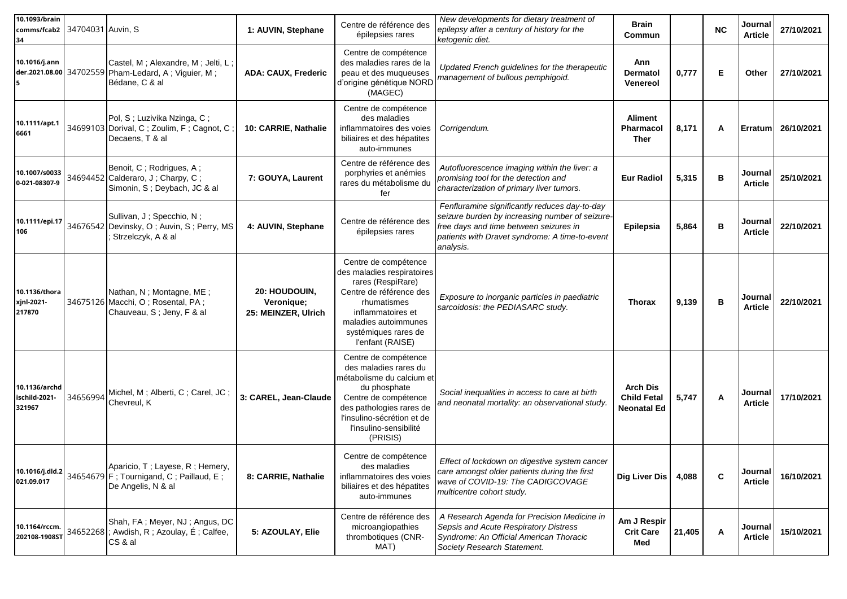| 10.1093/brain<br>comms/fcab2 34704031 Auvin, S<br>34 |                                                                                                             | 1: AUVIN, Stephane                                 | Centre de référence des<br>épilepsies rares                                                                                                                                                                        | New developments for dietary treatment of<br>epilepsy after a century of history for the<br>ketogenic diet.                                                                                               | Brain<br>Commun                                      |        | <b>NC</b>   | Journal<br><b>Article</b> | 27/10/2021 |
|------------------------------------------------------|-------------------------------------------------------------------------------------------------------------|----------------------------------------------------|--------------------------------------------------------------------------------------------------------------------------------------------------------------------------------------------------------------------|-----------------------------------------------------------------------------------------------------------------------------------------------------------------------------------------------------------|------------------------------------------------------|--------|-------------|---------------------------|------------|
| 10.1016/j.ann<br>5                                   | Castel, M; Alexandre, M; Jelti, L;<br>der.2021.08.00 34702559 Pham-Ledard, A; Viguier, M;<br>Bédane, C & al | <b>ADA: CAUX, Frederic</b>                         | Centre de compétence<br>des maladies rares de la<br>peau et des muqueuses<br>d'origine génétique NORD<br>(MAGEC)                                                                                                   | Updated French guidelines for the therapeutic<br>management of bullous pemphigoid.                                                                                                                        | Ann<br><b>Dermatol</b><br>Venereol                   | 0,777  | E           | Other                     | 27/10/2021 |
| 10.1111/apt.1<br>6661                                | Pol, S; Luzivika Nzinga, C;<br>34699103 Dorival, C; Zoulim, F; Cagnot, C<br>Decaens, T & al                 | 10: CARRIE, Nathalie                               | Centre de compétence<br>des maladies<br>inflammatoires des voies<br>biliaires et des hépatites<br>auto-immunes                                                                                                     | Corrigendum.                                                                                                                                                                                              | <b>Aliment</b><br><b>Pharmacol</b><br><b>Ther</b>    | 8,171  | А           | Erratum                   | 26/10/2021 |
| 10.1007/s0033<br>0-021-08307-9                       | Benoit, C; Rodrigues, A;<br>34694452 Calderaro, J; Charpy, C;<br>Simonin, S; Deybach, JC & al               | 7: GOUYA, Laurent                                  | Centre de référence des<br>porphyries et anémies<br>rares du métabolisme du<br>fer                                                                                                                                 | Autofluorescence imaging within the liver: a<br>promising tool for the detection and<br>characterization of primary liver tumors.                                                                         | <b>Eur Radiol</b>                                    | 5,315  | в           | Journal<br><b>Article</b> | 25/10/2021 |
| 10.1111/epi.17<br>106                                | Sullivan, J; Specchio, N;<br>34676542 Devinsky, O; Auvin, S; Perry, MS<br>Strzelczyk, A & al                | 4: AUVIN, Stephane                                 | Centre de référence des<br>épilepsies rares                                                                                                                                                                        | Fenfluramine significantly reduces day-to-day<br>seizure burden by increasing number of seizure-<br>free days and time between seizures in<br>patients with Dravet syndrome: A time-to-event<br>analysis. | Epilepsia                                            | 5,864  | в           | Journal<br><b>Article</b> | 22/10/2021 |
| 10.1136/thora<br>xjnl-2021-<br>217870                | Nathan, N; Montagne, ME;<br>34675126 Macchi, O; Rosental, PA;<br>Chauveau, S; Jeny, F & al                  | 20: HOUDOUIN,<br>Veronique;<br>25: MEINZER, Ulrich | Centre de compétence<br>des maladies respiratoires<br>rares (RespiRare)<br>Centre de référence des<br>rhumatismes<br>inflammatoires et<br>maladies autoimmunes<br>systémiques rares de<br>l'enfant (RAISE)         | Exposure to inorganic particles in paediatric<br>sarcoidosis: the PEDIASARC study.                                                                                                                        | <b>Thorax</b>                                        | 9,139  | в           | Journal<br><b>Article</b> | 22/10/2021 |
| 10.1136/archd<br>ischild-2021-<br>321967             | 34656994 Michel, M; Alberti, C; Carel, JC;<br>Chevreul, K                                                   | 3: CAREL, Jean-Claude                              | Centre de compétence<br>des maladies rares du<br>métabolisme du calcium et<br>du phosphate<br>Centre de compétence<br>des pathologies rares de<br>l'insulino-sécrétion et de<br>l'insulino-sensibilité<br>(PRISIS) | Social inequalities in access to care at birth<br>and neonatal mortality: an observational study.                                                                                                         | <b>Arch Dis</b><br><b>Child Fetal</b><br>Neonatal Ed | 5,747  | Α           | Journal<br>Article        | 17/10/2021 |
| 10.1016/j.dld.2<br>021.09.017                        | Aparicio, T; Layese, R; Hemery,<br>34654679 $F$ ; Tournigand, C; Paillaud, E;<br>De Angelis, N & al         | 8: CARRIE, Nathalie                                | Centre de compétence<br>des maladies<br>inflammatoires des voies<br>biliaires et des hépatites<br>auto-immunes                                                                                                     | Effect of lockdown on digestive system cancer<br>care amongst older patients during the first<br>wave of COVID-19: The CADIGCOVAGE<br>multicentre cohort study.                                           | Dig Liver Dis                                        | 4,088  | $\mathbf c$ | Journal<br><b>Article</b> | 16/10/2021 |
| 10.1164/rccm.<br>202108-1908ST                       | Shah, FA; Meyer, NJ; Angus, DC<br>34652268 ; Awdish, R; Azoulay, É; Calfee,<br>CS & al                      | 5: AZOULAY, Elie                                   | Centre de référence des<br>microangiopathies<br>thrombotiques (CNR-<br>MAT)                                                                                                                                        | A Research Agenda for Precision Medicine in<br>Sepsis and Acute Respiratory Distress<br>Syndrome: An Official American Thoracic<br>Society Research Statement.                                            | Am J Respir<br><b>Crit Care</b><br>Med               | 21,405 | A           | Journal<br><b>Article</b> | 15/10/2021 |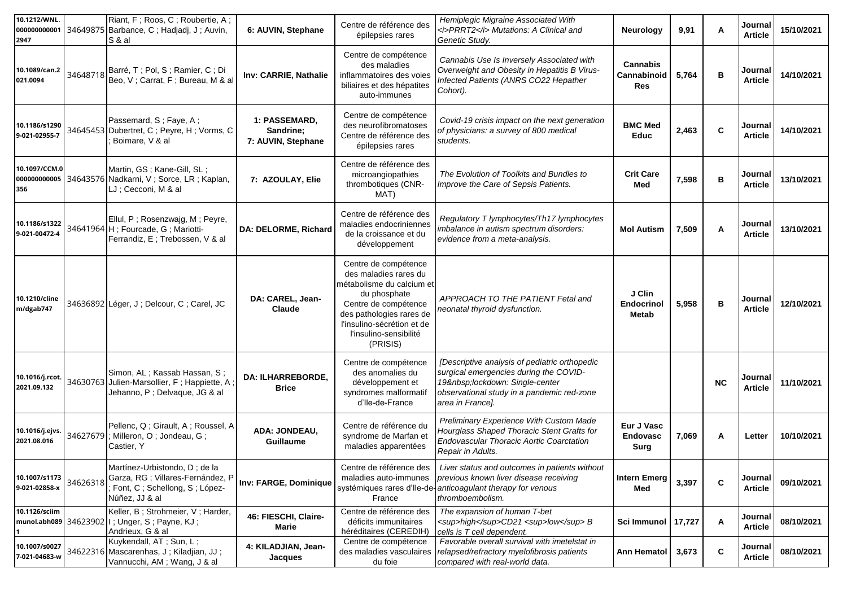| 10.1212/WNL.<br>000000000001<br>2947 |          | Riant, F; Roos, C; Roubertie, A;<br>34649875 Barbance, C; Hadjadj, J; Auvin,<br>S & al                                | 6: AUVIN, Stephane                               | Centre de référence des<br>épilepsies rares                                                                                                                                                                        | Hemiplegic Migraine Associated With<br><i>PRRT2</i> Mutations: A Clinical and<br>Genetic Study.                                                                                         | Neurology                                           | 9,91  | A            | Journal<br><b>Article</b> | 15/10/2021 |
|--------------------------------------|----------|-----------------------------------------------------------------------------------------------------------------------|--------------------------------------------------|--------------------------------------------------------------------------------------------------------------------------------------------------------------------------------------------------------------------|-----------------------------------------------------------------------------------------------------------------------------------------------------------------------------------------|-----------------------------------------------------|-------|--------------|---------------------------|------------|
| 10.1089/can.2<br>021.0094            | 34648718 | Barré, T; Pol, S; Ramier, C; Di<br>Beo, V; Carrat, F; Bureau, M & al                                                  | Inv: CARRIE, Nathalie                            | Centre de compétence<br>des maladies<br>inflammatoires des voies<br>biliaires et des hépatites<br>auto-immunes                                                                                                     | Cannabis Use Is Inversely Associated with<br>Overweight and Obesity in Hepatitis B Virus-<br>Infected Patients (ANRS CO22 Hepather<br>Cohort).                                          | <b>Cannabis</b><br>Cannabinoid<br><b>Res</b>        | 5,764 | в            | Journal<br><b>Article</b> | 14/10/2021 |
| 10.1186/s1290<br>9-021-02955-7       |          | Passemard, S; Faye, A;<br>34645453 Dubertret, C; Peyre, H; Vorms, C<br>Boimare, V & al                                | 1: PASSEMARD,<br>Sandrine:<br>7: AUVIN, Stephane | Centre de compétence<br>des neurofibromatoses<br>Centre de référence des<br>épilepsies rares                                                                                                                       | Covid-19 crisis impact on the next generation<br>of physicians: a survey of 800 medical<br>students.                                                                                    | <b>BMC Med</b><br><b>Educ</b>                       | 2,463 | C            | Journal<br><b>Article</b> | 14/10/2021 |
| 10.1097/CCM.0<br>356                 |          | Martin, GS; Kane-Gill, SL;<br>000000000005 34643576 Nadkarni, V; Sorce, LR; Kaplan,<br>LJ ; Cecconi, M & al           | 7: AZOULAY, Elie                                 | Centre de référence des<br>microangiopathies<br>thrombotiques (CNR-<br>MAT)                                                                                                                                        | The Evolution of Toolkits and Bundles to<br>Improve the Care of Sepsis Patients.                                                                                                        | <b>Crit Care</b><br>Med                             | 7,598 | В            | Journal<br><b>Article</b> | 13/10/2021 |
| 10.1186/s1322<br>9-021-00472-4       |          | Ellul, P; Rosenzwajg, M; Peyre,<br>34641964 H; Fourcade, G; Mariotti-<br>Ferrandiz, E; Trebossen, V & al              | DA: DELORME, Richard                             | Centre de référence des<br>maladies endocriniennes<br>de la croissance et du<br>développement                                                                                                                      | Regulatory T lymphocytes/Th17 lymphocytes<br>imbalance in autism spectrum disorders:<br>evidence from a meta-analysis.                                                                  | <b>Mol Autism</b>                                   | 7,509 | Α            | Journal<br><b>Article</b> | 13/10/2021 |
| 10.1210/cline<br>m/dgab747           |          | 34636892 Léger, J; Delcour, C; Carel, JC                                                                              | DA: CAREL, Jean-<br>Claude                       | Centre de compétence<br>des maladies rares du<br>métabolisme du calcium et<br>du phosphate<br>Centre de compétence<br>des pathologies rares de<br>l'insulino-sécrétion et de<br>l'insulino-sensibilité<br>(PRISIS) | APPROACH TO THE PATIENT Fetal and<br>neonatal thyroid dysfunction.                                                                                                                      | J Clin<br><b>Endocrinol</b><br>Metab                | 5,958 | в            | Journal<br><b>Article</b> | 12/10/2021 |
| 10.1016/j.rcot<br>2021.09.132        | 34630763 | Simon, AL; Kassab Hassan, S;<br>Julien-Marsollier, F; Happiette, A<br>Jehanno, P; Delvaque, JG & al                   | <b>DA: ILHARREBORDE.</b><br><b>Brice</b>         | Centre de compétence<br>des anomalies du<br>développement et<br>syndromes malformatif<br>d'Ile-de-France                                                                                                           | [Descriptive analysis of pediatric orthopedic<br>surgical emergencies during the COVID-<br>19 lockdown: Single-center<br>observational study in a pandemic red-zone<br>area in France]. |                                                     |       | <b>NC</b>    | Journal<br><b>Article</b> | 11/10/2021 |
| 10.1016/j.ejvs.<br>2021.08.016       |          | Pellenc, Q; Girault, A; Roussel, A<br>34627679; Milleron, O; Jondeau, G;<br>Castier, Y                                | <b>ADA: JONDEAU,</b><br>Guillaume                | Centre de référence du<br>syndrome de Marfan et<br>maladies apparentées                                                                                                                                            | Preliminary Experience With Custom Made<br>Hourglass Shaped Thoracic Stent Grafts for<br>Endovascular Thoracic Aortic Coarctation<br>Repair in Adults.                                  | <b>Eur J Vasc</b><br><b>Endovasc</b><br><b>Surg</b> | 7,069 | Α            | Letter                    | 10/10/2021 |
| 10.1007/s1173<br>9-021-02858-x       | 34626318 | Martínez-Urbistondo, D; de la<br>Garza, RG ; Villares-Fernández, P<br>Font, C; Schellong, S; López-<br>Núñez, JJ & al | Inv: FARGE, Dominique                            | Centre de référence des<br>maladies auto-immunes<br>France                                                                                                                                                         | Liver status and outcomes in patients without<br>previous known liver disease receiving<br>systémiques rares d'Ile-de-anticoagulant therapy for venous<br>thromboembolism.              | <b>Intern Emerg</b><br>Med                          | 3,397 | $\mathbf{C}$ | Journal<br><b>Article</b> | 09/10/2021 |
| 10.1126/sciim                        |          | Keller, B; Strohmeier, V; Harder,<br>munol.abh089 34623902   I; Unger, S; Payne, KJ;<br>Andrieux, G & al              | 46: FIESCHI, Claire-<br>Marie                    | Centre de référence des<br>déficits immunitaires<br>héréditaires (CEREDIH)                                                                                                                                         | The expansion of human T-bet<br><sup>high</sup> CD21 <sup>low</sup> B<br>cells is T cell dependent.                                                                                     | Sci Immunol   17,727                                |       | Α            | Journal<br><b>Article</b> | 08/10/2021 |
| 10.1007/s0027<br>7-021-04683-w       |          | Kuykendall, AT; Sun, L;<br>34622316 Mascarenhas, J; Kiladjian, JJ;<br>Vannucchi, AM; Wang, J & al                     | 4: KILADJIAN, Jean-<br>Jacques                   | Centre de compétence<br>des maladies vasculaires<br>du foie                                                                                                                                                        | Favorable overall survival with imetelstat in<br>relapsed/refractory myelofibrosis patients<br>compared with real-world data.                                                           | Ann Hematol                                         | 3,673 | $\mathbf c$  | Journal<br><b>Article</b> | 08/10/2021 |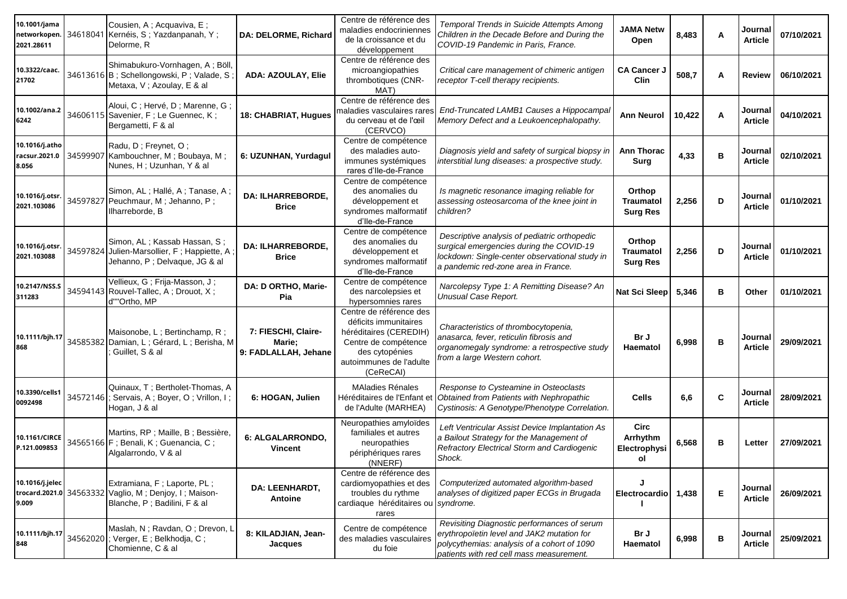| 10.1001/jama<br>networkopen.<br>2021.28611 | 34618041 | Cousien, A; Acquaviva, E;<br>Kernéis, S; Yazdanpanah, Y;<br>Delorme, R                                               | DA: DELORME, Richard                                  | Centre de référence des<br>maladies endocriniennes<br>de la croissance et du<br>développement                                                                | Temporal Trends in Suicide Attempts Among<br>Children in the Decade Before and During the<br>COVID-19 Pandemic in Paris, France.                                                     | <b>JAMA Netw</b><br>Open                      | 8,483  | Α | Journal<br><b>Article</b> | 07/10/2021 |
|--------------------------------------------|----------|----------------------------------------------------------------------------------------------------------------------|-------------------------------------------------------|--------------------------------------------------------------------------------------------------------------------------------------------------------------|--------------------------------------------------------------------------------------------------------------------------------------------------------------------------------------|-----------------------------------------------|--------|---|---------------------------|------------|
| 10.3322/caac.<br>21702                     |          | Shimabukuro-Vornhagen, A; Böll,<br>34613616 B; Schellongowski, P; Valade, S<br>Metaxa, V; Azoulay, E & al            | ADA: AZOULAY, Elie                                    | Centre de référence des<br>microangiopathies<br>thrombotiques (CNR-<br>MAT)                                                                                  | Critical care management of chimeric antigen<br>receptor T-cell therapy recipients.                                                                                                  | <b>CA Cancer J</b><br><b>Clin</b>             | 508,7  | Α | Review                    | 06/10/2021 |
| 10.1002/ana.2<br>6242                      |          | Aloui, C; Hervé, D; Marenne, G<br>34606115 Savenier, F; Le Guennec, K;<br>Bergametti, F & al                         | 18: CHABRIAT, Hugues                                  | Centre de référence des<br>maladies vasculaires rares<br>du cerveau et de l'œil<br>(CERVCO)                                                                  | End-Truncated LAMB1 Causes a Hippocampal<br>Memory Defect and a Leukoencephalopathy.                                                                                                 | <b>Ann Neurol</b>                             | 10,422 | Α | Journal<br><b>Article</b> | 04/10/2021 |
| 10.1016/j.atho<br>racsur.2021.0<br>8.056   |          | Radu, D; Freynet, O;<br>34599907 Kambouchner, M; Boubaya, M;<br>Nunes, H; Uzunhan, Y & al                            | 6: UZUNHAN, Yurdagul                                  | Centre de compétence<br>des maladies auto-<br>immunes systémiques<br>rares d'Ile-de-France                                                                   | Diagnosis yield and safety of surgical biopsy in<br>interstitial lung diseases: a prospective study.                                                                                 | <b>Ann Thorac</b><br><b>Surg</b>              | 4,33   | в | Journal<br><b>Article</b> | 02/10/2021 |
| 10.1016/j.otsr.<br>2021.103086             |          | Simon, AL; Hallé, A; Tanase, A;<br>34597827 Peuchmaur, M; Jehanno, P;<br>Ilharreborde, B                             | <b>DA: ILHARREBORDE,</b><br><b>Brice</b>              | Centre de compétence<br>des anomalies du<br>développement et<br>syndromes malformatif<br>d'Ile-de-France                                                     | Is magnetic resonance imaging reliable for<br>assessing osteosarcoma of the knee joint in<br>children?                                                                               | Orthop<br><b>Traumatol</b><br><b>Surg Res</b> | 2,256  | D | Journal<br><b>Article</b> | 01/10/2021 |
| 10.1016/j.otsr.<br>2021.103088             | 34597824 | Simon, AL; Kassab Hassan, S;<br>Julien-Marsollier, F; Happiette, A<br>Jehanno, P; Delvaque, JG & al                  | <b>DA: ILHARREBORDE,</b><br><b>Brice</b>              | Centre de compétence<br>des anomalies du<br>développement et<br>syndromes malformatif<br>d'Ile-de-France                                                     | Descriptive analysis of pediatric orthopedic<br>surgical emergencies during the COVID-19<br>lockdown: Single-center observational study in<br>a pandemic red-zone area in France.    | Orthop<br><b>Traumatol</b><br><b>Surg Res</b> | 2,256  | D | Journal<br><b>Article</b> | 01/10/2021 |
| 10.2147/NSS.S<br>311283                    |          | Vellieux, G ; Frija-Masson, J ;<br>34594143 Rouvel-Tallec, A; Drouot, X;<br>d'"'Ortho, MP                            | DA: D ORTHO, Marie-<br>Pia                            | Centre de compétence<br>des narcolepsies et<br>hypersomnies rares                                                                                            | Narcolepsy Type 1: A Remitting Disease? An<br>Unusual Case Report.                                                                                                                   | <b>Nat Sci Sleep</b>                          | 5,346  | в | Other                     | 01/10/2021 |
| 10.1111/bjh.17<br>868                      |          | Maisonobe, L; Bertinchamp, R;<br>34585382 Damian, L; Gérard, L; Berisha, M<br>Guillet, S & al                        | 7: FIESCHI, Claire-<br>Marie;<br>9: FADLALLAH, Jehane | Centre de référence des<br>déficits immunitaires<br>héréditaires (CEREDIH)<br>Centre de compétence<br>des cytopénies<br>autoimmunes de l'adulte<br>(CeReCAI) | Characteristics of thrombocytopenia,<br>anasarca, fever, reticulin fibrosis and<br>organomegaly syndrome: a retrospective study<br>from a large Western cohort.                      | Br J<br>Haematol                              | 6,998  | в | Journal<br>Article        | 29/09/2021 |
| 10.3390/cells1<br>0092498                  |          | Quinaux, T; Bertholet-Thomas, A<br>34572146 ; Servais, A; Boyer, O; Vrillon, I;<br>Hogan, J & al                     | 6: HOGAN, Julien                                      | <b>MAladies Rénales</b><br>Héréditaires de l'Enfant et<br>de l'Adulte (MARHEA)                                                                               | Response to Cysteamine in Osteoclasts<br>Obtained from Patients with Nephropathic<br>Cystinosis: A Genotype/Phenotype Correlation.                                                   | <b>Cells</b>                                  | 6,6    | C | Journal<br><b>Article</b> | 28/09/2021 |
| 10.1161/CIRCE<br>P.121.009853              |          | Martins, RP ; Maille, B ; Bessière,<br>34565166 F ; Benali, K ; Guenancia, C ;<br>Algalarrondo, V & al               | 6: ALGALARRONDO,<br>Vincent                           | Neuropathies amyloïdes<br>familiales et autres<br>neuropathies<br>périphériques rares<br>(NNERF)                                                             | Left Ventricular Assist Device Implantation As<br>a Bailout Strategy for the Management of<br>Refractory Electrical Storm and Cardiogenic<br>Shock.                                  | Circ<br>Arrhythm<br>Electrophysi<br>ol        | 6,568  | в | Letter                    | 27/09/2021 |
| 10.1016/j.jelec<br>9.009                   |          | Extramiana, F; Laporte, PL;<br>trocard.2021.0 34563332 Vaglio, M; Denjoy, I; Maison-<br>Blanche, P; Badilini, F & al | DA: LEENHARDT,<br><b>Antoine</b>                      | Centre de référence des<br>cardiomyopathies et des<br>troubles du rythme<br>cardiaque héréditaires ou syndrome.<br>rares                                     | Computerized automated algorithm-based<br>analyses of digitized paper ECGs in Brugada                                                                                                | Electrocardio                                 | 1,438  | E | Journal<br><b>Article</b> | 26/09/2021 |
| 10.1111/bjh.17<br>848                      |          | Maslah, N; Ravdan, O; Drevon, L<br>34562020 ; Verger, E; Belkhodja, C;<br>Chomienne, C & al                          | 8: KILADJIAN, Jean-<br>Jacques                        | Centre de compétence<br>des maladies vasculaires<br>du foie                                                                                                  | Revisiting Diagnostic performances of serum<br>erythropoïetin level and JAK2 mutation for<br>polycythemias: analysis of a cohort of 1090<br>patients with red cell mass measurement. | Br J<br>Haematol                              | 6,998  | В | Journal<br><b>Article</b> | 25/09/2021 |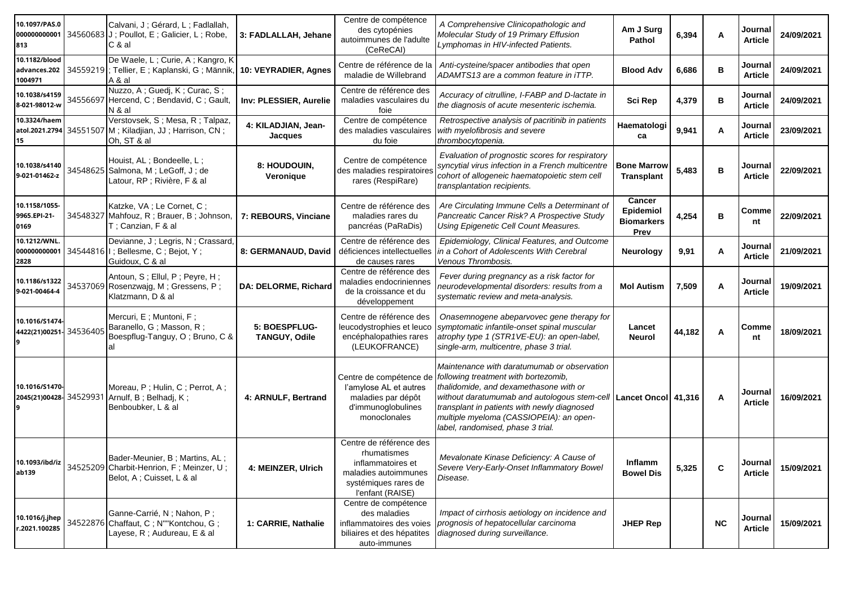| 10.1097/PAS.0<br>000000000001<br>813         | Calvani, J; Gérard, L; Fadlallah,<br>34560683 J; Poullot, E; Galicier, L; Robe,<br>C & al               | 3: FADLALLAH, Jehane           | Centre de compétence<br>des cytopénies<br>autoimmunes de l'adulte<br>(CeReCAI)                                                  | A Comprehensive Clinicopathologic and<br>Molecular Study of 19 Primary Effusion<br>Lymphomas in HIV-infected Patients.                                                                                                                                                                                                               | Am J Surg<br>Pathol                              | 6,394  | Α  | Journal<br><b>Article</b>   | 24/09/2021 |
|----------------------------------------------|---------------------------------------------------------------------------------------------------------|--------------------------------|---------------------------------------------------------------------------------------------------------------------------------|--------------------------------------------------------------------------------------------------------------------------------------------------------------------------------------------------------------------------------------------------------------------------------------------------------------------------------------|--------------------------------------------------|--------|----|-----------------------------|------------|
| 10.1182/blood<br>advances.202<br>1004971     | De Waele, L; Curie, A; Kangro, K<br>34559219 ; Tellier, E; Kaplanski, G; Männik,<br>A & al              | 10: VEYRADIER, Agnes           | Centre de référence de la<br>maladie de Willebrand                                                                              | Anti-cysteine/spacer antibodies that open<br>ADAMTS13 are a common feature in iTTP.                                                                                                                                                                                                                                                  | <b>Blood Adv</b>                                 | 6,686  | B  | Journal<br><b>Article</b>   | 24/09/2021 |
| 10.1038/s4159<br>8-021-98012-w               | Nuzzo, A; Guedj, K; Curac, S;<br>34556697 Hercend, C; Bendavid, C; Gault,<br>N & al                     | Inv: PLESSIER, Aurelie         | Centre de référence des<br>maladies vasculaires du<br>foie                                                                      | Accuracy of citrulline, I-FABP and D-lactate in<br>the diagnosis of acute mesenteric ischemia.                                                                                                                                                                                                                                       | Sci Rep                                          | 4,379  | B  | Journal<br><b>Article</b>   | 24/09/2021 |
| 10.3324/haem<br>atol.2021.2794<br>15         | Verstovsek, S; Mesa, R; Talpaz,<br>34551507 M; Kiladjian, JJ; Harrison, CN;<br>Oh, ST & al              | 4: KILADJIAN, Jean-<br>Jacques | Centre de compétence<br>des maladies vasculaires<br>du foie                                                                     | Retrospective analysis of pacritinib in patients<br>with myelofibrosis and severe<br>thrombocytopenia.                                                                                                                                                                                                                               | Haematologi<br>ca                                | 9,941  | Α  | Journal<br><b>Article</b>   | 23/09/2021 |
| 10.1038/s4140<br>9-021-01462-z               | Houist, AL; Bondeelle, L;<br>34548625 Salmona, M; LeGoff, J; de<br>Latour, RP ; Rivière, F & al         | 8: HOUDOUIN,<br>Veronique      | Centre de compétence<br>des maladies respiratoires<br>rares (RespiRare)                                                         | Evaluation of prognostic scores for respiratory<br>syncytial virus infection in a French multicentre<br>cohort of allogeneic haematopoietic stem cell<br>transplantation recipients.                                                                                                                                                 | <b>Bone Marrow</b><br><b>Transplant</b>          | 5,483  | B  | Journal<br><b>Article</b>   | 22/09/2021 |
| 10.1158/1055-<br>9965.EPI-21-<br>0169        | Katzke, VA; Le Cornet, C;<br>34548327 Mahfouz, R; Brauer, B; Johnson,<br>T; Canzian, F & al             | 7: REBOURS, Vinciane           | Centre de référence des<br>maladies rares du<br>pancréas (PaRaDis)                                                              | Are Circulating Immune Cells a Determinant of<br>Pancreatic Cancer Risk? A Prospective Study<br>Using Epigenetic Cell Count Measures.                                                                                                                                                                                                | Cancer<br>Epidemiol<br><b>Biomarkers</b><br>Prev | 4,254  | B  | Comme<br>nt                 | 22/09/2021 |
| 10.1212/WNL.<br>000000000001<br>2828         | Devianne, J; Legris, N; Crassard,<br>34544816   I ; Bellesme, C ; Bejot, Y ;<br>Guidoux, C & al         | 8: GERMANAUD, David            | Centre de référence des<br>déficiences intellectuelles<br>de causes rares                                                       | Epidemiology, Clinical Features, and Outcome<br>in a Cohort of Adolescents With Cerebral<br>Venous Thrombosis.                                                                                                                                                                                                                       | Neurology                                        | 9,91   | Α  | Journal<br><b>Article</b>   | 21/09/2021 |
| 10.1186/s1322<br>9-021-00464-4               | Antoun, S; Ellul, P; Peyre, H;<br>34537069 Rosenzwajg, M; Gressens, P;<br>Klatzmann, D & al             | DA: DELORME, Richard           | Centre de référence des<br>maladies endocriniennes<br>de la croissance et du<br>développement                                   | Fever during pregnancy as a risk factor for<br>neurodevelopmental disorders: results from a<br>systematic review and meta-analysis.                                                                                                                                                                                                  | <b>Mol Autism</b>                                | 7,509  | A  | Journal<br><b>Article</b>   | 19/09/2021 |
| 10.1016/S1474<br>4422(21)00251-34536405<br>9 | Mercuri, E; Muntoni, F;<br>Baranello, G; Masson, R;<br>Boespflug-Tanguy, O; Bruno, C &<br>al            | 5: BOESPFLUG-<br>TANGUY, Odile | Centre de référence des<br>leucodystrophies et leuco<br>encéphalopathies rares<br>(LEUKOFRANCE)                                 | Onasemnogene abeparvovec gene therapy for<br>symptomatic infantile-onset spinal muscular<br>atrophy type 1 (STR1VE-EU): an open-label,<br>single-arm, multicentre, phase 3 trial.                                                                                                                                                    | Lancet<br><b>Neurol</b>                          | 44,182 | A  | Comme<br>nt                 | 18/09/2021 |
| 10.1016/S1470-<br>2045(21)00428-34529931     | Moreau, P; Hulin, C; Perrot, A;<br>Arnulf, B; Belhadj, K;<br>Benboubker, L & al                         | 4: ARNULF, Bertrand            | Centre de compétence de<br>l'amylose AL et autres<br>maladies par dépôt<br>d'immunoglobulines<br>monoclonales                   | Maintenance with daratumumab or observation<br>following treatment with bortezomib,<br>thalidomide, and dexamethasone with or<br>without daratumumab and autologous stem-cell   Lancet Oncol   41,316<br>transplant in patients with newly diagnosed<br>multiple myeloma (CASSIOPEIA): an open-<br>label, randomised, phase 3 trial. |                                                  |        | A  | Journal<br><b>Article</b>   | 16/09/2021 |
| 10.1093/ibd/iz<br>ab139                      | Bader-Meunier, B; Martins, AL;<br>34525209 Charbit-Henrion, F; Meinzer, U;<br>Belot, A; Cuisset, L & al | 4: MEINZER, Ulrich             | Centre de référence des<br>rhumatismes<br>inflammatoires et<br>maladies autoimmunes<br>systémiques rares de<br>l'enfant (RAISE) | Mevalonate Kinase Deficiency: A Cause of<br>Severe Very-Early-Onset Inflammatory Bowel<br>Disease.                                                                                                                                                                                                                                   | Inflamm<br><b>Bowel Dis</b>                      | 5,325  | C  | Journal  <br><b>Article</b> | 15/09/2021 |
| 10.1016/j.jhep<br>r.2021.100285              | Ganne-Carrié, N; Nahon, P;<br>34522876 Chaffaut, C; N""Kontchou, G;<br>Layese, R ; Audureau, E & al     | 1: CARRIE, Nathalie            | Centre de compétence<br>des maladies<br>inflammatoires des voies<br>biliaires et des hépatites<br>auto-immunes                  | Impact of cirrhosis aetiology on incidence and<br>prognosis of hepatocellular carcinoma<br>diagnosed during surveillance.                                                                                                                                                                                                            | <b>JHEP Rep</b>                                  |        | NC | Journal<br><b>Article</b>   | 15/09/2021 |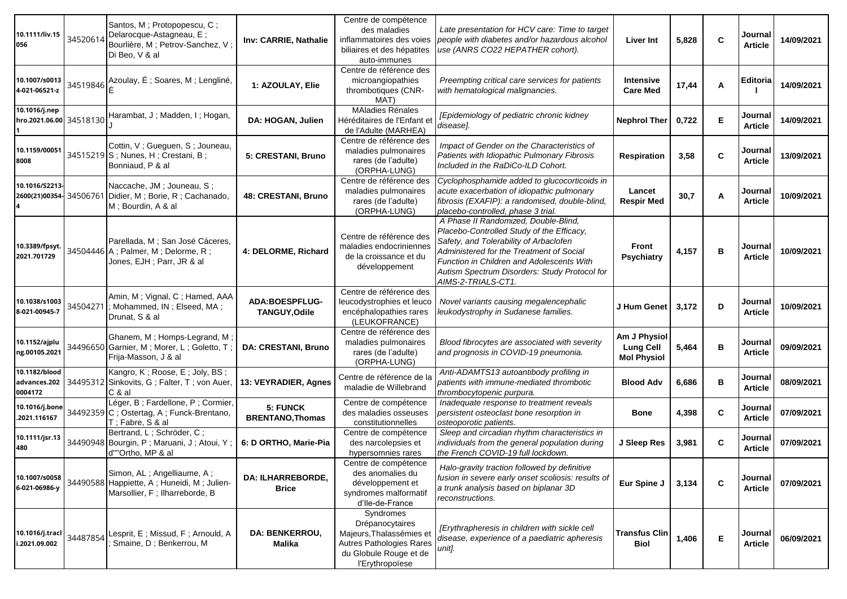| 10.1111/liv.15<br>056                    | 34520614 | Santos, M; Protopopescu, C;<br>Delarocque-Astagneau, E;<br>Bourlière, M ; Petrov-Sanchez, V ;<br>Di Beo, V & al | Inv: CARRIE, Nathalie                    | Centre de compétence<br>des maladies<br>inflammatoires des voies<br>biliaires et des hépatites<br>auto-immunes                    | Late presentation for HCV care: Time to target<br>people with diabetes and/or hazardous alcohol<br>use (ANRS CO22 HEPATHER cohort).                                                                                                                                                         | <b>Liver Int</b>                                       | 5,828 | $\mathbf c$ | Journal<br>Article        | 14/09/2021 |
|------------------------------------------|----------|-----------------------------------------------------------------------------------------------------------------|------------------------------------------|-----------------------------------------------------------------------------------------------------------------------------------|---------------------------------------------------------------------------------------------------------------------------------------------------------------------------------------------------------------------------------------------------------------------------------------------|--------------------------------------------------------|-------|-------------|---------------------------|------------|
| 10.1007/s0013<br>4-021-06521-z           |          | 34519846 Azoulay, É ; Soares, M ; Lengliné,                                                                     | 1: AZOULAY, Elie                         | Centre de référence des<br>microangiopathies<br>thrombotiques (CNR-<br>MAT)                                                       | Preempting critical care services for patients<br>with hematological malignancies.                                                                                                                                                                                                          | <b>Intensive</b><br><b>Care Med</b>                    | 17,44 | Α           | Editoria                  | 14/09/2021 |
| 10.1016/j.nep<br>hro.2021.06.00 34518130 |          | Harambat, J; Madden, I; Hogan,                                                                                  | DA: HOGAN, Julien                        | <b>MAladies Rénales</b><br>Héréditaires de l'Enfant et<br>de l'Adulte (MARHEA)                                                    | [Epidemiology of pediatric chronic kidney<br>diseasel.                                                                                                                                                                                                                                      | <b>Nephrol Ther</b>                                    | 0,722 | E           | Journal<br><b>Article</b> | 14/09/2021 |
| 10.1159/00051<br>8008                    |          | Cottin, V; Gueguen, S; Jouneau,<br>34515219 S; Nunes, H; Crestani, B;<br>Bonniaud, P & al                       | 5: CRESTANI, Bruno                       | Centre de référence des<br>maladies pulmonaires<br>rares (de l'adulte)<br>(ORPHA-LUNG)                                            | Impact of Gender on the Characteristics of<br>Patients with Idiopathic Pulmonary Fibrosis<br>Included in the RaDiCo-ILD Cohort.                                                                                                                                                             | <b>Respiration</b>                                     | 3,58  | C           | Journal<br><b>Article</b> | 13/09/2021 |
| 10.1016/S2213-<br>2600(21)00354-34506761 |          | Naccache, JM; Jouneau, S;<br>Didier, M; Borie, R; Cachanado,<br>M; Bourdin, A & al                              | 48: CRESTANI, Bruno                      | Centre de référence des<br>maladies pulmonaires<br>rares (de l'adulte)<br>(ORPHA-LUNG)                                            | Cyclophosphamide added to glucocorticoids in<br>acute exacerbation of idiopathic pulmonary<br>fibrosis (EXAFIP): a randomised, double-blind,<br>placebo-controlled, phase 3 trial.                                                                                                          | Lancet<br><b>Respir Med</b>                            | 30,7  | Α           | Journal<br><b>Article</b> | 10/09/2021 |
| 10.3389/fpsyt.<br>2021.701729            |          | Parellada, M ; San José Cáceres,<br>34504446 A; Palmer, M; Delorme, R;<br>Jones, EJH; Parr, JR & al             | 4: DELORME, Richard                      | Centre de référence des<br>maladies endocriniennes<br>de la croissance et du<br>développement                                     | A Phase II Randomized, Double-Blind,<br>Placebo-Controlled Study of the Efficacy,<br>Safety, and Tolerability of Arbaclofen<br>Administered for the Treatment of Social<br>Function in Children and Adolescents With<br>Autism Spectrum Disorders: Study Protocol for<br>AIMS-2-TRIALS-CT1. | Front<br><b>Psychiatry</b>                             | 4,157 | в           | Journal<br>Article        | 10/09/2021 |
| 10.1038/s1003<br>8-021-00945-7           | 34504271 | Amin, M; Vignal, C; Hamed, AAA<br>; Mohammed, IN; Elseed, MA;<br>Drunat, S & al                                 | <b>ADA:BOESPFLUG-</b><br>TANGUY, Odile   | Centre de référence des<br>leucodystrophies et leuco<br>encéphalopathies rares<br>(LEUKOFRANCE)                                   | Novel variants causing megalencephalic<br>leukodystrophy in Sudanese families.                                                                                                                                                                                                              | J Hum Genet                                            | 3,172 | D           | Journal<br><b>Article</b> | 10/09/2021 |
| 10.1152/ajplu<br>ng.00105.2021           |          | Ghanem, M; Homps-Legrand, M;<br>34496650 Garnier, M; Morer, L; Goletto, T;<br>Frija-Masson, J & al              | <b>DA: CRESTANI, Bruno</b>               | Centre de référence des<br>maladies pulmonaires<br>rares (de l'adulte)<br>(ORPHA-LUNG)                                            | Blood fibrocytes are associated with severity<br>and prognosis in COVID-19 pneumonia.                                                                                                                                                                                                       | Am J Physiol<br><b>Lung Cell</b><br><b>Mol Physiol</b> | 5,464 | B           | Journal<br><b>Article</b> | 09/09/2021 |
| 10.1182/blood<br>advances.202<br>0004172 | 34495312 | Kangro, K; Roose, E; Joly, BS;<br>Sinkovits, G; Falter, T; von Auer,<br>C & al                                  | 13: VEYRADIER, Agnes                     | Centre de référence de la<br>maladie de Willebrand                                                                                | Anti-ADAMTS13 autoantibody profiling in<br>patients with immune-mediated thrombotic<br>thrombocytopenic purpura.                                                                                                                                                                            | <b>Blood Adv</b>                                       | 6,686 | в           | Journal<br><b>Article</b> | 08/09/2021 |
| 10.1016/j.bone<br>.2021.116167           |          | Léger, B ; Fardellone, P ; Cormier,<br>34492359 C; Ostertag, A; Funck-Brentano,<br>T : Fabre, S & al            | 5: FUNCK<br><b>BRENTANO, Thomas</b>      | Centre de compétence<br>des maladies osseuses<br>constitutionnelles                                                               | Inadequate response to treatment reveals<br>persistent osteoclast bone resorption in<br>osteoporotic patients.                                                                                                                                                                              | <b>Bone</b>                                            | 4,398 | $\mathbf c$ | Journal<br><b>Article</b> | 07/09/2021 |
| 10.1111/jsr.13<br>480                    |          | Bertrand, L; Schröder, C;<br>34490948 Bourgin, P; Maruani, J; Atoui, Y;<br>d""Ortho, MP & al                    | 6: D ORTHO, Marie-Pia                    | Centre de compétence<br>des narcolepsies et<br>hypersomnies rares                                                                 | Sleep and circadian rhythm characteristics in<br>individuals from the general population during<br>the French COVID-19 full lockdown.                                                                                                                                                       | J Sleep Res                                            | 3,981 | $\mathbf c$ | Journal<br><b>Article</b> | 07/09/2021 |
| 10.1007/s0058<br>6-021-06986-y           |          | Simon, AL; Angelliaume, A;<br>34490588 Happiette, A; Huneidi, M; Julien-<br>Marsollier, F; Ilharreborde, B      | <b>DA: ILHARREBORDE,</b><br><b>Brice</b> | Centre de compétence<br>des anomalies du<br>développement et<br>syndromes malformatif<br>d'Ile-de-France                          | Halo-gravity traction followed by definitive<br>fusion in severe early onset scoliosis: results of<br>a trunk analysis based on biplanar 3D<br>reconstructions.                                                                                                                             | Eur Spine J                                            | 3,134 | $\mathbf c$ | Journal<br><b>Article</b> | 07/09/2021 |
| 10.1016/j.tracl<br>i.2021.09.002         | 34487854 | Lesprit, E; Missud, F; Arnould, A<br>Smaine, D; Benkerrou, M                                                    | <b>DA: BENKERROU,</b><br><b>Malika</b>   | Syndromes<br>Drépanocytaires<br>Majeurs, Thalassémies et<br>Autres Pathologies Rares<br>du Globule Rouge et de<br>l'Erythropoïese | [Erythrapheresis in children with sickle cell<br>disease, experience of a paediatric apheresis<br>unit].                                                                                                                                                                                    | <b>Transfus Clin</b><br><b>Biol</b>                    | 1,406 | E           | Journal<br><b>Article</b> | 06/09/2021 |